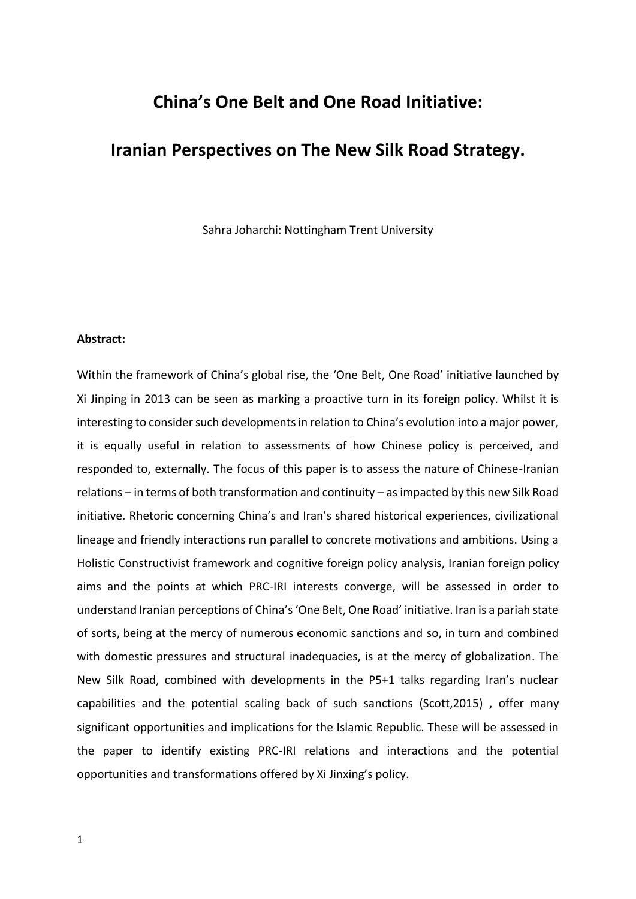# **China's One Belt and One Road Initiative:**

## **Iranian Perspectives on The New Silk Road Strategy.**

Sahra Joharchi: Nottingham Trent University

## **Abstract:**

Within the framework of China's global rise, the 'One Belt, One Road' initiative launched by Xi Jinping in 2013 can be seen as marking a proactive turn in its foreign policy. Whilst it is interesting to consider such developments in relation to China's evolution into a major power, it is equally useful in relation to assessments of how Chinese policy is perceived, and responded to, externally. The focus of this paper is to assess the nature of Chinese-Iranian relations – in terms of both transformation and continuity – as impacted by this new Silk Road initiative. Rhetoric concerning China's and Iran's shared historical experiences, civilizational lineage and friendly interactions run parallel to concrete motivations and ambitions. Using a Holistic Constructivist framework and cognitive foreign policy analysis, Iranian foreign policy aims and the points at which PRC-IRI interests converge, will be assessed in order to understand Iranian perceptions of China's 'One Belt, One Road' initiative. Iran is a pariah state of sorts, being at the mercy of numerous economic sanctions and so, in turn and combined with domestic pressures and structural inadequacies, is at the mercy of globalization. The New Silk Road, combined with developments in the P5+1 talks regarding Iran's nuclear capabilities and the potential scaling back of such sanctions (Scott,2015) , offer many significant opportunities and implications for the Islamic Republic. These will be assessed in the paper to identify existing PRC-IRI relations and interactions and the potential opportunities and transformations offered by Xi Jinxing's policy.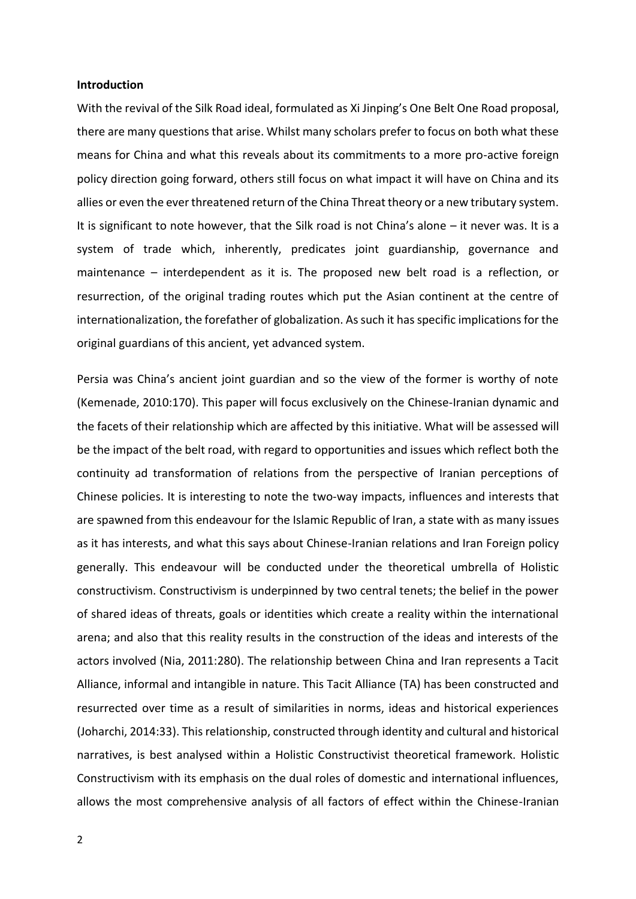#### **Introduction**

With the revival of the Silk Road ideal, formulated as Xi Jinping's One Belt One Road proposal, there are many questions that arise. Whilst many scholars prefer to focus on both what these means for China and what this reveals about its commitments to a more pro-active foreign policy direction going forward, others still focus on what impact it will have on China and its allies or even the ever threatened return of the China Threat theory or a new tributary system. It is significant to note however, that the Silk road is not China's alone – it never was. It is a system of trade which, inherently, predicates joint guardianship, governance and maintenance – interdependent as it is. The proposed new belt road is a reflection, or resurrection, of the original trading routes which put the Asian continent at the centre of internationalization, the forefather of globalization. As such it has specific implications for the original guardians of this ancient, yet advanced system.

Persia was China's ancient joint guardian and so the view of the former is worthy of note (Kemenade, 2010:170). This paper will focus exclusively on the Chinese-Iranian dynamic and the facets of their relationship which are affected by this initiative. What will be assessed will be the impact of the belt road, with regard to opportunities and issues which reflect both the continuity ad transformation of relations from the perspective of Iranian perceptions of Chinese policies. It is interesting to note the two-way impacts, influences and interests that are spawned from this endeavour for the Islamic Republic of Iran, a state with as many issues as it has interests, and what this says about Chinese-Iranian relations and Iran Foreign policy generally. This endeavour will be conducted under the theoretical umbrella of Holistic constructivism. Constructivism is underpinned by two central tenets; the belief in the power of shared ideas of threats, goals or identities which create a reality within the international arena; and also that this reality results in the construction of the ideas and interests of the actors involved (Nia, 2011:280). The relationship between China and Iran represents a Tacit Alliance, informal and intangible in nature. This Tacit Alliance (TA) has been constructed and resurrected over time as a result of similarities in norms, ideas and historical experiences (Joharchi, 2014:33). This relationship, constructed through identity and cultural and historical narratives, is best analysed within a Holistic Constructivist theoretical framework. Holistic Constructivism with its emphasis on the dual roles of domestic and international influences, allows the most comprehensive analysis of all factors of effect within the Chinese-Iranian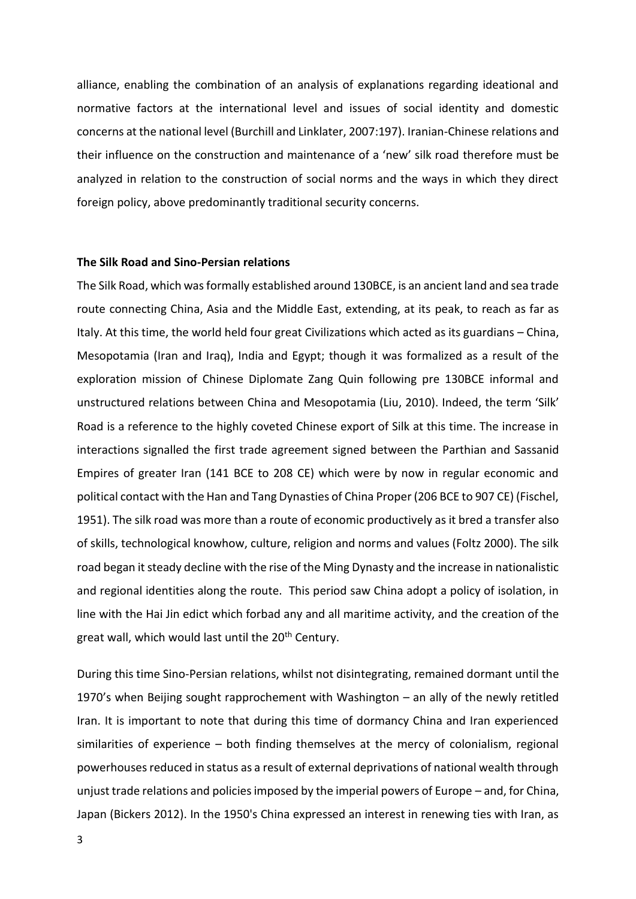alliance, enabling the combination of an analysis of explanations regarding ideational and normative factors at the international level and issues of social identity and domestic concerns at the national level (Burchill and Linklater, 2007:197). Iranian-Chinese relations and their influence on the construction and maintenance of a 'new' silk road therefore must be analyzed in relation to the construction of social norms and the ways in which they direct foreign policy, above predominantly traditional security concerns.

## **The Silk Road and Sino-Persian relations**

The Silk Road, which was formally established around 130BCE, is an ancient land and sea trade route connecting China, Asia and the Middle East, extending, at its peak, to reach as far as Italy. At this time, the world held four great Civilizations which acted as its guardians – China, Mesopotamia (Iran and Iraq), India and Egypt; though it was formalized as a result of the exploration mission of Chinese Diplomate Zang Quin following pre 130BCE informal and unstructured relations between China and Mesopotamia (Liu, 2010). Indeed, the term 'Silk' Road is a reference to the highly coveted Chinese export of Silk at this time. The increase in interactions signalled the first trade agreement signed between the Parthian and Sassanid Empires of greater Iran (141 BCE to 208 CE) which were by now in regular economic and political contact with the Han and Tang Dynasties of China Proper (206 BCE to 907 CE) (Fischel, 1951). The silk road was more than a route of economic productively as it bred a transfer also of skills, technological knowhow, culture, religion and norms and values (Foltz 2000). The silk road began it steady decline with the rise of the Ming Dynasty and the increase in nationalistic and regional identities along the route. This period saw China adopt a policy of isolation, in line with the Hai Jin edict which forbad any and all maritime activity, and the creation of the great wall, which would last until the 20<sup>th</sup> Century.

During this time Sino-Persian relations, whilst not disintegrating, remained dormant until the 1970's when Beijing sought rapprochement with Washington – an ally of the newly retitled Iran. It is important to note that during this time of dormancy China and Iran experienced similarities of experience – both finding themselves at the mercy of colonialism, regional powerhouses reduced in status as a result of external deprivations of national wealth through unjust trade relations and policies imposed by the imperial powers of Europe – and, for China, Japan (Bickers 2012). In the 1950's China expressed an interest in renewing ties with Iran, as

3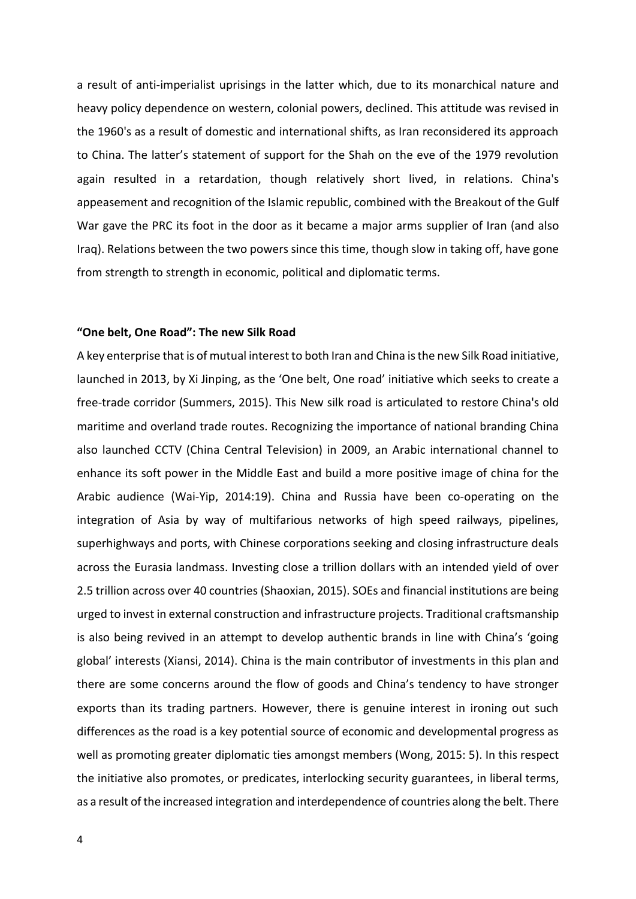a result of anti-imperialist uprisings in the latter which, due to its monarchical nature and heavy policy dependence on western, colonial powers, declined. This attitude was revised in the 1960's as a result of domestic and international shifts, as Iran reconsidered its approach to China. The latter's statement of support for the Shah on the eve of the 1979 revolution again resulted in a retardation, though relatively short lived, in relations. China's appeasement and recognition of the Islamic republic, combined with the Breakout of the Gulf War gave the PRC its foot in the door as it became a major arms supplier of Iran (and also Iraq). Relations between the two powers since this time, though slow in taking off, have gone from strength to strength in economic, political and diplomatic terms.

### **"One belt, One Road": The new Silk Road**

A key enterprise that is of mutual interest to both Iran and China is the new Silk Road initiative, launched in 2013, by Xi Jinping, as the 'One belt, One road' initiative which seeks to create a free-trade corridor (Summers, 2015). This New silk road is articulated to restore China's old maritime and overland trade routes. Recognizing the importance of national branding China also launched CCTV (China Central Television) in 2009, an Arabic international channel to enhance its soft power in the Middle East and build a more positive image of china for the Arabic audience (Wai-Yip, 2014:19). China and Russia have been co-operating on the integration of Asia by way of multifarious networks of high speed railways, pipelines, superhighways and ports, with Chinese corporations seeking and closing infrastructure deals across the Eurasia landmass. Investing close a trillion dollars with an intended yield of over 2.5 trillion across over 40 countries (Shaoxian, 2015). SOEs and financial institutions are being urged to invest in external construction and infrastructure projects. Traditional craftsmanship is also being revived in an attempt to develop authentic brands in line with China's 'going global' interests (Xiansi, 2014). China is the main contributor of investments in this plan and there are some concerns around the flow of goods and China's tendency to have stronger exports than its trading partners. However, there is genuine interest in ironing out such differences as the road is a key potential source of economic and developmental progress as well as promoting greater diplomatic ties amongst members (Wong, 2015: 5). In this respect the initiative also promotes, or predicates, interlocking security guarantees, in liberal terms, as a result of the increased integration and interdependence of countries along the belt. There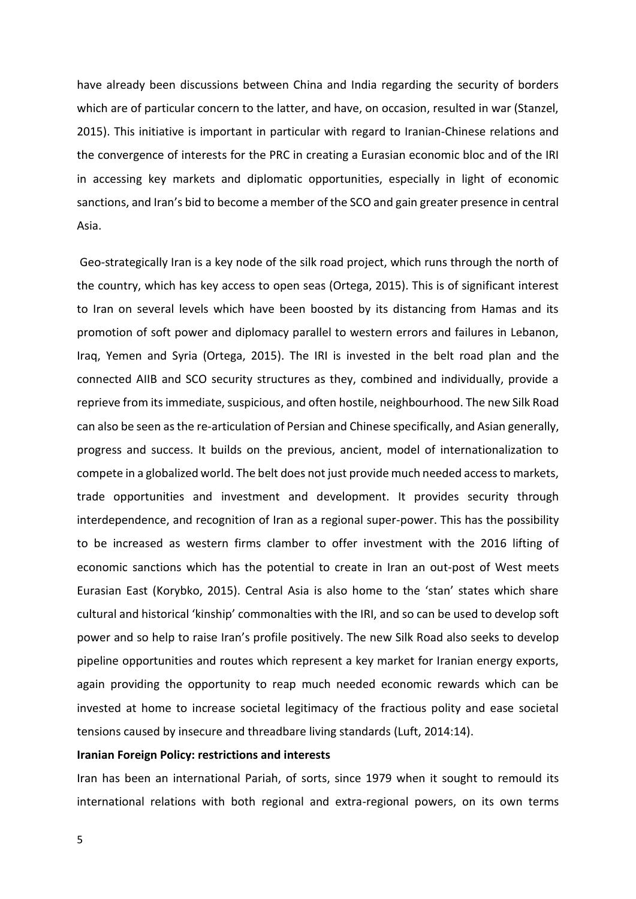have already been discussions between China and India regarding the security of borders which are of particular concern to the latter, and have, on occasion, resulted in war (Stanzel, 2015). This initiative is important in particular with regard to Iranian-Chinese relations and the convergence of interests for the PRC in creating a Eurasian economic bloc and of the IRI in accessing key markets and diplomatic opportunities, especially in light of economic sanctions, and Iran's bid to become a member of the SCO and gain greater presence in central Asia.

Geo-strategically Iran is a key node of the silk road project, which runs through the north of the country, which has key access to open seas (Ortega, 2015). This is of significant interest to Iran on several levels which have been boosted by its distancing from Hamas and its promotion of soft power and diplomacy parallel to western errors and failures in Lebanon, Iraq, Yemen and Syria (Ortega, 2015). The IRI is invested in the belt road plan and the connected AIIB and SCO security structures as they, combined and individually, provide a reprieve from its immediate, suspicious, and often hostile, neighbourhood. The new Silk Road can also be seen as the re-articulation of Persian and Chinese specifically, and Asian generally, progress and success. It builds on the previous, ancient, model of internationalization to compete in a globalized world. The belt does not just provide much needed access to markets, trade opportunities and investment and development. It provides security through interdependence, and recognition of Iran as a regional super-power. This has the possibility to be increased as western firms clamber to offer investment with the 2016 lifting of economic sanctions which has the potential to create in Iran an out-post of West meets Eurasian East (Korybko, 2015). Central Asia is also home to the 'stan' states which share cultural and historical 'kinship' commonalties with the IRI, and so can be used to develop soft power and so help to raise Iran's profile positively. The new Silk Road also seeks to develop pipeline opportunities and routes which represent a key market for Iranian energy exports, again providing the opportunity to reap much needed economic rewards which can be invested at home to increase societal legitimacy of the fractious polity and ease societal tensions caused by insecure and threadbare living standards (Luft, 2014:14).

### **Iranian Foreign Policy: restrictions and interests**

Iran has been an international Pariah, of sorts, since 1979 when it sought to remould its international relations with both regional and extra-regional powers, on its own terms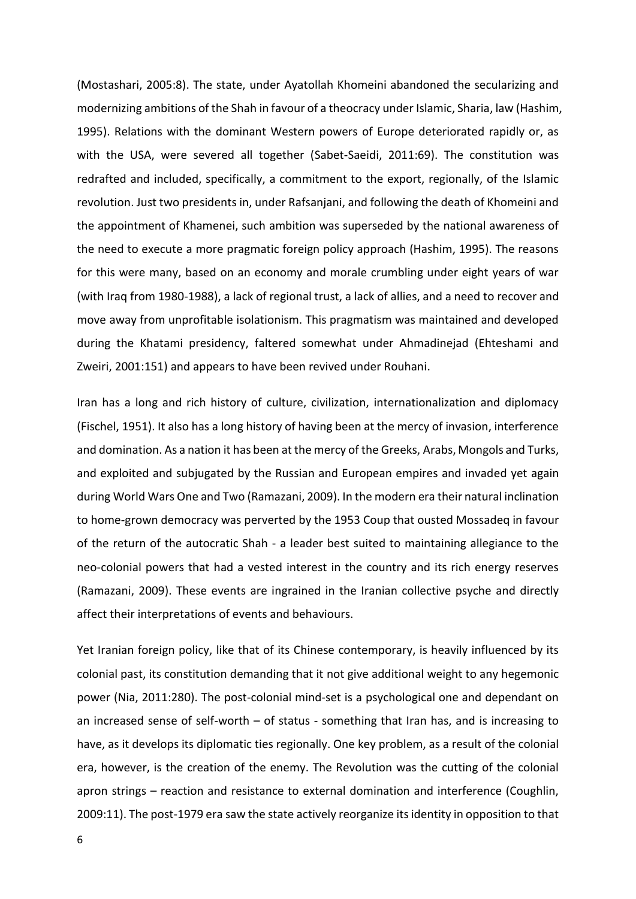(Mostashari, 2005:8). The state, under Ayatollah Khomeini abandoned the secularizing and modernizing ambitions of the Shah in favour of a theocracy under Islamic, Sharia, law (Hashim, 1995). Relations with the dominant Western powers of Europe deteriorated rapidly or, as with the USA, were severed all together (Sabet-Saeidi, 2011:69). The constitution was redrafted and included, specifically, a commitment to the export, regionally, of the Islamic revolution. Just two presidents in, under Rafsanjani, and following the death of Khomeini and the appointment of Khamenei, such ambition was superseded by the national awareness of the need to execute a more pragmatic foreign policy approach (Hashim, 1995). The reasons for this were many, based on an economy and morale crumbling under eight years of war (with Iraq from 1980-1988), a lack of regional trust, a lack of allies, and a need to recover and move away from unprofitable isolationism. This pragmatism was maintained and developed during the Khatami presidency, faltered somewhat under Ahmadinejad (Ehteshami and Zweiri, 2001:151) and appears to have been revived under Rouhani.

Iran has a long and rich history of culture, civilization, internationalization and diplomacy (Fischel, 1951). It also has a long history of having been at the mercy of invasion, interference and domination. As a nation it has been at the mercy of the Greeks, Arabs, Mongols and Turks, and exploited and subjugated by the Russian and European empires and invaded yet again during World Wars One and Two (Ramazani, 2009). In the modern era their natural inclination to home-grown democracy was perverted by the 1953 Coup that ousted Mossadeq in favour of the return of the autocratic Shah - a leader best suited to maintaining allegiance to the neo-colonial powers that had a vested interest in the country and its rich energy reserves (Ramazani, 2009). These events are ingrained in the Iranian collective psyche and directly affect their interpretations of events and behaviours.

Yet Iranian foreign policy, like that of its Chinese contemporary, is heavily influenced by its colonial past, its constitution demanding that it not give additional weight to any hegemonic power (Nia, 2011:280). The post-colonial mind-set is a psychological one and dependant on an increased sense of self-worth – of status - something that Iran has, and is increasing to have, as it develops its diplomatic ties regionally. One key problem, as a result of the colonial era, however, is the creation of the enemy. The Revolution was the cutting of the colonial apron strings – reaction and resistance to external domination and interference (Coughlin, 2009:11). The post-1979 era saw the state actively reorganize its identity in opposition to that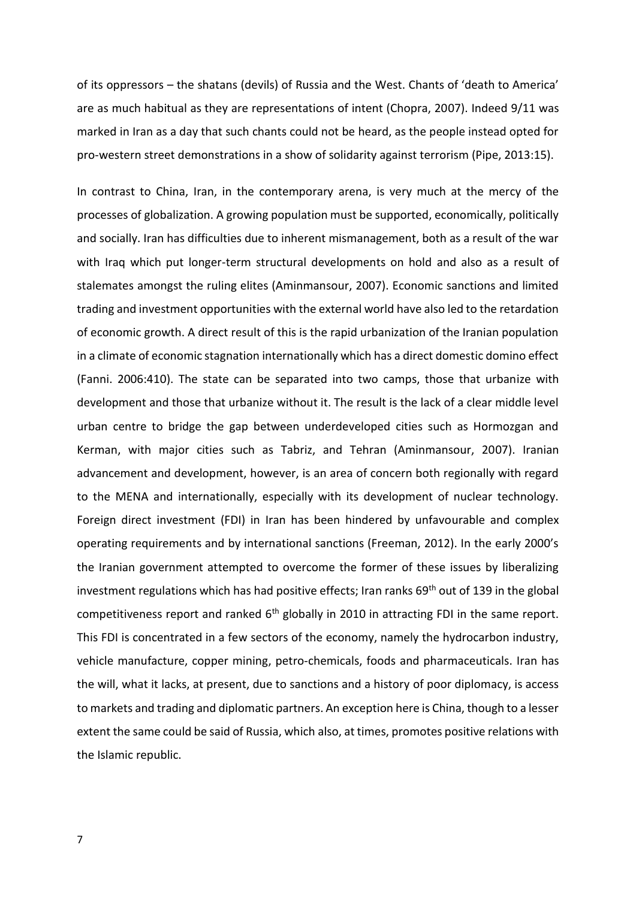of its oppressors – the shatans (devils) of Russia and the West. Chants of 'death to America' are as much habitual as they are representations of intent (Chopra, 2007). Indeed 9/11 was marked in Iran as a day that such chants could not be heard, as the people instead opted for pro-western street demonstrations in a show of solidarity against terrorism (Pipe, 2013:15).

In contrast to China, Iran, in the contemporary arena, is very much at the mercy of the processes of globalization. A growing population must be supported, economically, politically and socially. Iran has difficulties due to inherent mismanagement, both as a result of the war with Iraq which put longer-term structural developments on hold and also as a result of stalemates amongst the ruling elites (Aminmansour, 2007). Economic sanctions and limited trading and investment opportunities with the external world have also led to the retardation of economic growth. A direct result of this is the rapid urbanization of the Iranian population in a climate of economic stagnation internationally which has a direct domestic domino effect (Fanni. 2006:410). The state can be separated into two camps, those that urbanize with development and those that urbanize without it. The result is the lack of a clear middle level urban centre to bridge the gap between underdeveloped cities such as Hormozgan and Kerman, with major cities such as Tabriz, and Tehran (Aminmansour, 2007). Iranian advancement and development, however, is an area of concern both regionally with regard to the MENA and internationally, especially with its development of nuclear technology. Foreign direct investment (FDI) in Iran has been hindered by unfavourable and complex operating requirements and by international sanctions (Freeman, 2012). In the early 2000's the Iranian government attempted to overcome the former of these issues by liberalizing investment regulations which has had positive effects; Iran ranks 69<sup>th</sup> out of 139 in the global competitiveness report and ranked  $6<sup>th</sup>$  globally in 2010 in attracting FDI in the same report. This FDI is concentrated in a few sectors of the economy, namely the hydrocarbon industry, vehicle manufacture, copper mining, petro-chemicals, foods and pharmaceuticals. Iran has the will, what it lacks, at present, due to sanctions and a history of poor diplomacy, is access to markets and trading and diplomatic partners. An exception here is China, though to a lesser extent the same could be said of Russia, which also, at times, promotes positive relations with the Islamic republic.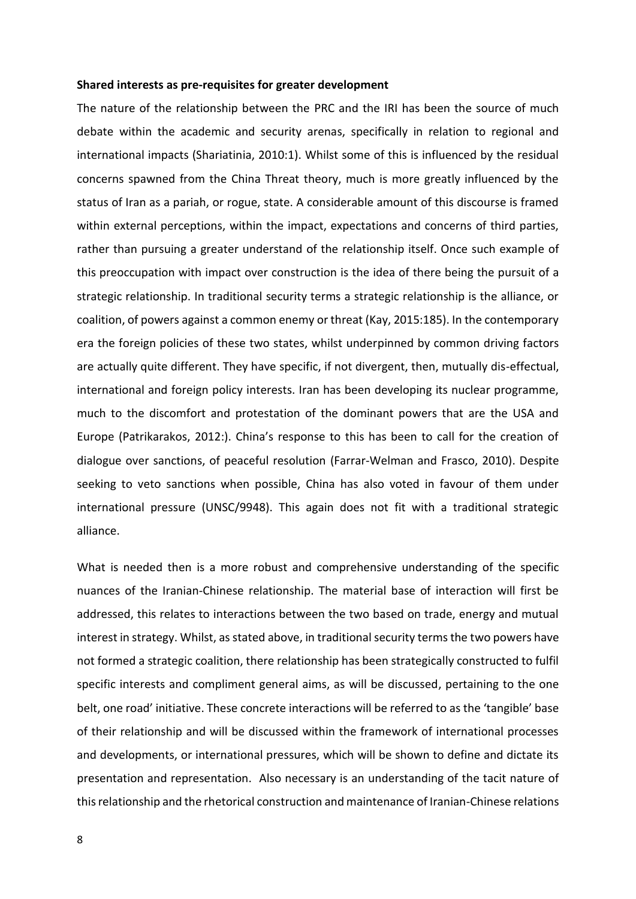#### **Shared interests as pre-requisites for greater development**

The nature of the relationship between the PRC and the IRI has been the source of much debate within the academic and security arenas, specifically in relation to regional and international impacts (Shariatinia, 2010:1). Whilst some of this is influenced by the residual concerns spawned from the China Threat theory, much is more greatly influenced by the status of Iran as a pariah, or rogue, state. A considerable amount of this discourse is framed within external perceptions, within the impact, expectations and concerns of third parties, rather than pursuing a greater understand of the relationship itself. Once such example of this preoccupation with impact over construction is the idea of there being the pursuit of a strategic relationship. In traditional security terms a strategic relationship is the alliance, or coalition, of powers against a common enemy or threat (Kay, 2015:185). In the contemporary era the foreign policies of these two states, whilst underpinned by common driving factors are actually quite different. They have specific, if not divergent, then, mutually dis-effectual, international and foreign policy interests. Iran has been developing its nuclear programme, much to the discomfort and protestation of the dominant powers that are the USA and Europe (Patrikarakos, 2012:). China's response to this has been to call for the creation of dialogue over sanctions, of peaceful resolution (Farrar-Welman and Frasco, 2010). Despite seeking to veto sanctions when possible, China has also voted in favour of them under international pressure (UNSC/9948). This again does not fit with a traditional strategic alliance.

What is needed then is a more robust and comprehensive understanding of the specific nuances of the Iranian-Chinese relationship. The material base of interaction will first be addressed, this relates to interactions between the two based on trade, energy and mutual interest in strategy. Whilst, as stated above, in traditional security terms the two powers have not formed a strategic coalition, there relationship has been strategically constructed to fulfil specific interests and compliment general aims, as will be discussed, pertaining to the one belt, one road' initiative. These concrete interactions will be referred to as the 'tangible' base of their relationship and will be discussed within the framework of international processes and developments, or international pressures, which will be shown to define and dictate its presentation and representation. Also necessary is an understanding of the tacit nature of this relationship and the rhetorical construction and maintenance of Iranian-Chinese relations

8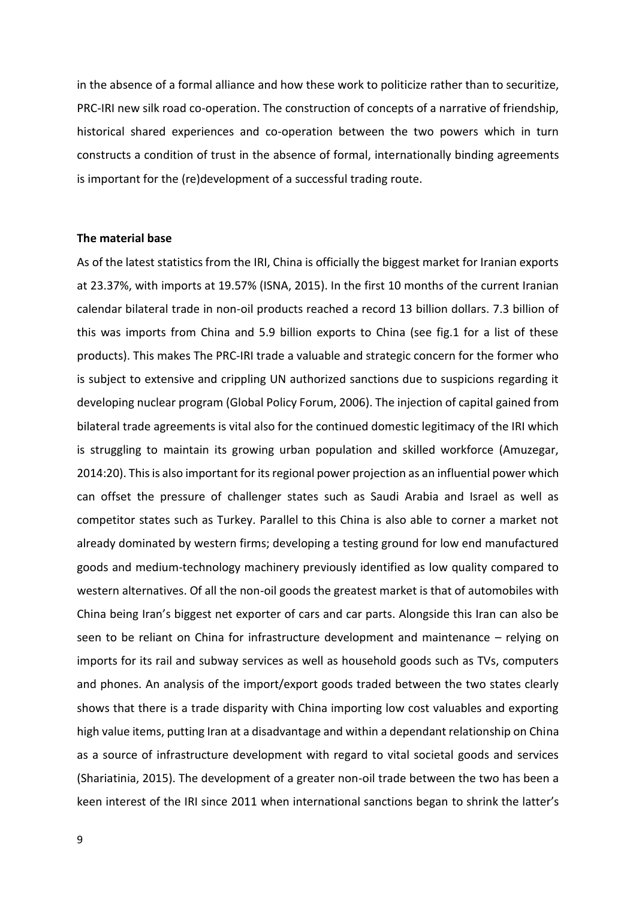in the absence of a formal alliance and how these work to politicize rather than to securitize, PRC-IRI new silk road co-operation. The construction of concepts of a narrative of friendship, historical shared experiences and co-operation between the two powers which in turn constructs a condition of trust in the absence of formal, internationally binding agreements is important for the (re)development of a successful trading route.

### **The material base**

As of the latest statistics from the IRI, China is officially the biggest market for Iranian exports at 23.37%, with imports at 19.57% (ISNA, 2015). In the first 10 months of the current Iranian calendar bilateral trade in non-oil products reached a record 13 billion dollars. 7.3 billion of this was imports from China and 5.9 billion exports to China (see fig.1 for a list of these products). This makes The PRC-IRI trade a valuable and strategic concern for the former who is subject to extensive and crippling UN authorized sanctions due to suspicions regarding it developing nuclear program (Global Policy Forum, 2006). The injection of capital gained from bilateral trade agreements is vital also for the continued domestic legitimacy of the IRI which is struggling to maintain its growing urban population and skilled workforce (Amuzegar, 2014:20). This is also important for its regional power projection as an influential power which can offset the pressure of challenger states such as Saudi Arabia and Israel as well as competitor states such as Turkey. Parallel to this China is also able to corner a market not already dominated by western firms; developing a testing ground for low end manufactured goods and medium-technology machinery previously identified as low quality compared to western alternatives. Of all the non-oil goods the greatest market is that of automobiles with China being Iran's biggest net exporter of cars and car parts. Alongside this Iran can also be seen to be reliant on China for infrastructure development and maintenance – relying on imports for its rail and subway services as well as household goods such as TVs, computers and phones. An analysis of the import/export goods traded between the two states clearly shows that there is a trade disparity with China importing low cost valuables and exporting high value items, putting Iran at a disadvantage and within a dependant relationship on China as a source of infrastructure development with regard to vital societal goods and services (Shariatinia, 2015). The development of a greater non-oil trade between the two has been a keen interest of the IRI since 2011 when international sanctions began to shrink the latter's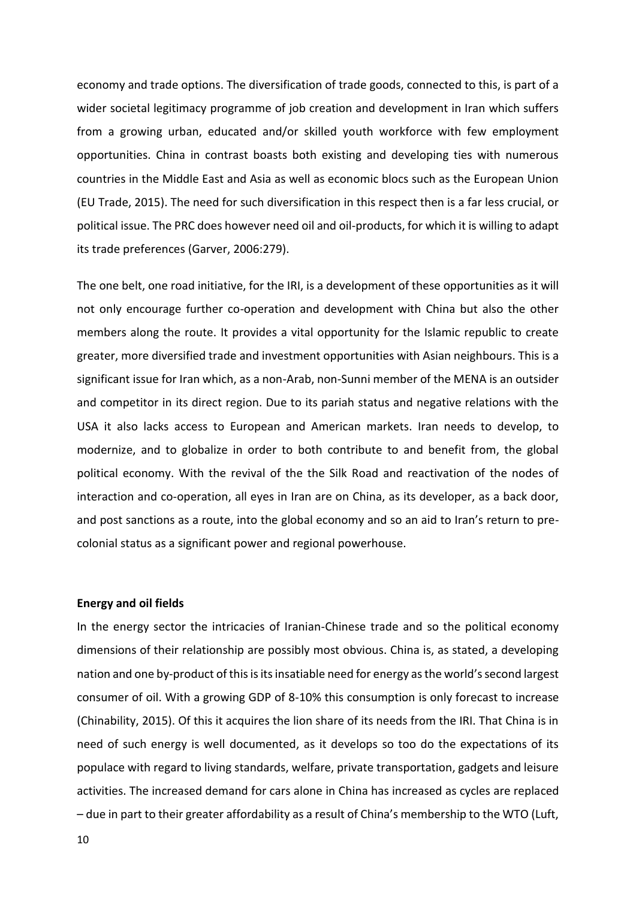economy and trade options. The diversification of trade goods, connected to this, is part of a wider societal legitimacy programme of job creation and development in Iran which suffers from a growing urban, educated and/or skilled youth workforce with few employment opportunities. China in contrast boasts both existing and developing ties with numerous countries in the Middle East and Asia as well as economic blocs such as the European Union (EU Trade, 2015). The need for such diversification in this respect then is a far less crucial, or political issue. The PRC does however need oil and oil-products, for which it is willing to adapt its trade preferences (Garver, 2006:279).

The one belt, one road initiative, for the IRI, is a development of these opportunities as it will not only encourage further co-operation and development with China but also the other members along the route. It provides a vital opportunity for the Islamic republic to create greater, more diversified trade and investment opportunities with Asian neighbours. This is a significant issue for Iran which, as a non-Arab, non-Sunni member of the MENA is an outsider and competitor in its direct region. Due to its pariah status and negative relations with the USA it also lacks access to European and American markets. Iran needs to develop, to modernize, and to globalize in order to both contribute to and benefit from, the global political economy. With the revival of the the Silk Road and reactivation of the nodes of interaction and co-operation, all eyes in Iran are on China, as its developer, as a back door, and post sanctions as a route, into the global economy and so an aid to Iran's return to precolonial status as a significant power and regional powerhouse.

## **Energy and oil fields**

In the energy sector the intricacies of Iranian-Chinese trade and so the political economy dimensions of their relationship are possibly most obvious. China is, as stated, a developing nation and one by-product of this is its insatiable need for energy as the world's second largest consumer of oil. With a growing GDP of 8-10% this consumption is only forecast to increase (Chinability, 2015). Of this it acquires the lion share of its needs from the IRI. That China is in need of such energy is well documented, as it develops so too do the expectations of its populace with regard to living standards, welfare, private transportation, gadgets and leisure activities. The increased demand for cars alone in China has increased as cycles are replaced – due in part to their greater affordability as a result of China's membership to the WTO (Luft,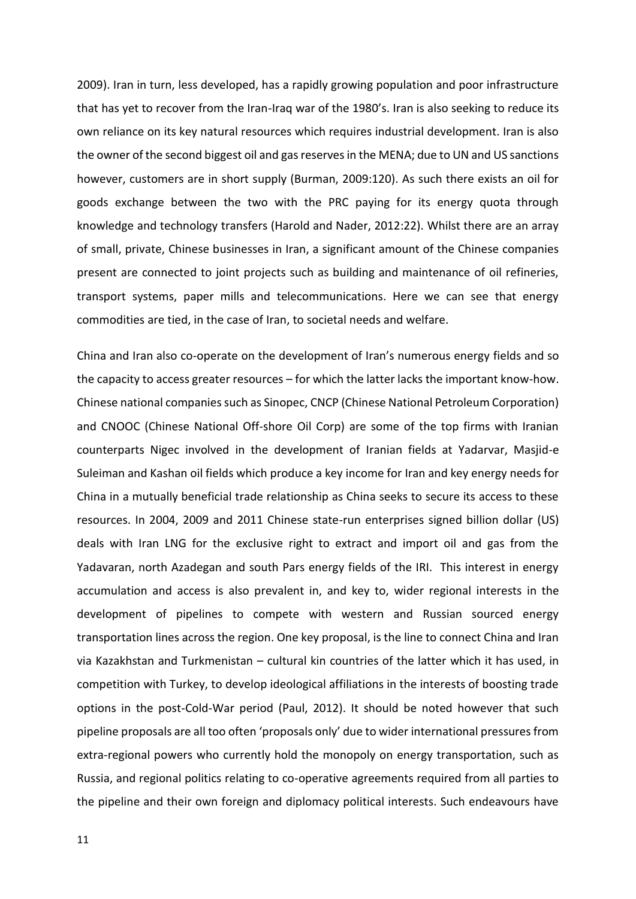2009). Iran in turn, less developed, has a rapidly growing population and poor infrastructure that has yet to recover from the Iran-Iraq war of the 1980's. Iran is also seeking to reduce its own reliance on its key natural resources which requires industrial development. Iran is also the owner of the second biggest oil and gas reserves in the MENA; due to UN and US sanctions however, customers are in short supply (Burman, 2009:120). As such there exists an oil for goods exchange between the two with the PRC paying for its energy quota through knowledge and technology transfers (Harold and Nader, 2012:22). Whilst there are an array of small, private, Chinese businesses in Iran, a significant amount of the Chinese companies present are connected to joint projects such as building and maintenance of oil refineries, transport systems, paper mills and telecommunications. Here we can see that energy commodities are tied, in the case of Iran, to societal needs and welfare.

China and Iran also co-operate on the development of Iran's numerous energy fields and so the capacity to access greater resources – for which the latter lacks the important know-how. Chinese national companies such as Sinopec, CNCP (Chinese National Petroleum Corporation) and CNOOC (Chinese National Off-shore Oil Corp) are some of the top firms with Iranian counterparts Nigec involved in the development of Iranian fields at Yadarvar, Masjid-e Suleiman and Kashan oil fields which produce a key income for Iran and key energy needs for China in a mutually beneficial trade relationship as China seeks to secure its access to these resources. In 2004, 2009 and 2011 Chinese state-run enterprises signed billion dollar (US) deals with Iran LNG for the exclusive right to extract and import oil and gas from the Yadavaran, north Azadegan and south Pars energy fields of the IRI. This interest in energy accumulation and access is also prevalent in, and key to, wider regional interests in the development of pipelines to compete with western and Russian sourced energy transportation lines across the region. One key proposal, is the line to connect China and Iran via Kazakhstan and Turkmenistan – cultural kin countries of the latter which it has used, in competition with Turkey, to develop ideological affiliations in the interests of boosting trade options in the post-Cold-War period (Paul, 2012). It should be noted however that such pipeline proposals are all too often 'proposals only' due to wider international pressures from extra-regional powers who currently hold the monopoly on energy transportation, such as Russia, and regional politics relating to co-operative agreements required from all parties to the pipeline and their own foreign and diplomacy political interests. Such endeavours have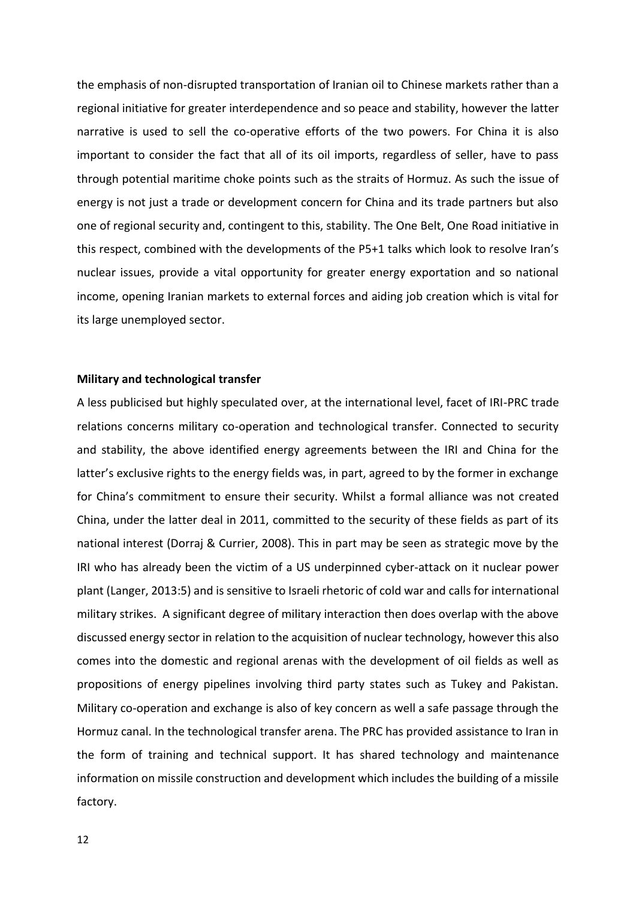the emphasis of non-disrupted transportation of Iranian oil to Chinese markets rather than a regional initiative for greater interdependence and so peace and stability, however the latter narrative is used to sell the co-operative efforts of the two powers. For China it is also important to consider the fact that all of its oil imports, regardless of seller, have to pass through potential maritime choke points such as the straits of Hormuz. As such the issue of energy is not just a trade or development concern for China and its trade partners but also one of regional security and, contingent to this, stability. The One Belt, One Road initiative in this respect, combined with the developments of the P5+1 talks which look to resolve Iran's nuclear issues, provide a vital opportunity for greater energy exportation and so national income, opening Iranian markets to external forces and aiding job creation which is vital for its large unemployed sector.

## **Military and technological transfer**

A less publicised but highly speculated over, at the international level, facet of IRI-PRC trade relations concerns military co-operation and technological transfer. Connected to security and stability, the above identified energy agreements between the IRI and China for the latter's exclusive rights to the energy fields was, in part, agreed to by the former in exchange for China's commitment to ensure their security. Whilst a formal alliance was not created China, under the latter deal in 2011, committed to the security of these fields as part of its national interest (Dorraj & Currier, 2008). This in part may be seen as strategic move by the IRI who has already been the victim of a US underpinned cyber-attack on it nuclear power plant (Langer, 2013:5) and is sensitive to Israeli rhetoric of cold war and calls for international military strikes. A significant degree of military interaction then does overlap with the above discussed energy sector in relation to the acquisition of nuclear technology, however this also comes into the domestic and regional arenas with the development of oil fields as well as propositions of energy pipelines involving third party states such as Tukey and Pakistan. Military co-operation and exchange is also of key concern as well a safe passage through the Hormuz canal. In the technological transfer arena. The PRC has provided assistance to Iran in the form of training and technical support. It has shared technology and maintenance information on missile construction and development which includes the building of a missile factory.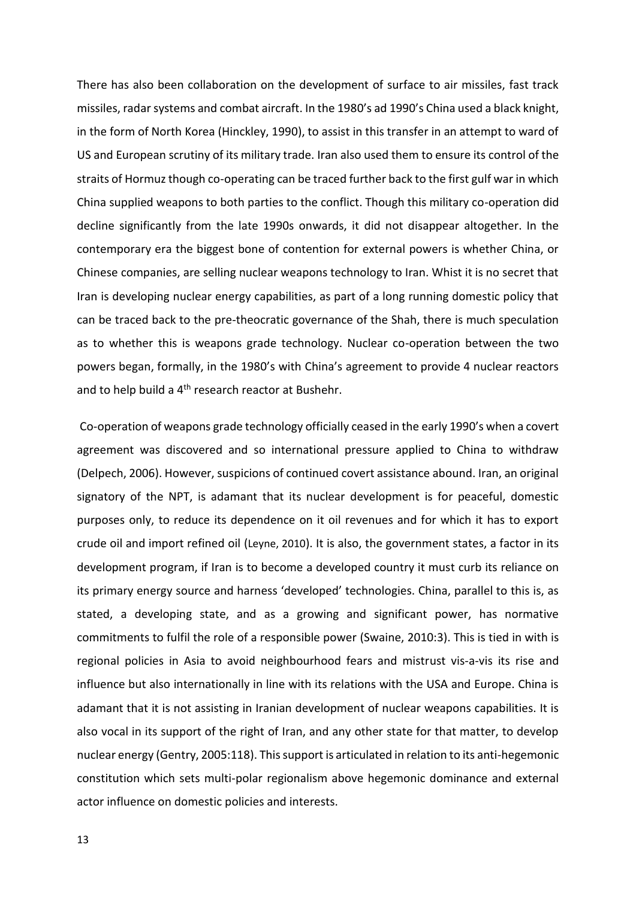There has also been collaboration on the development of surface to air missiles, fast track missiles, radar systems and combat aircraft. In the 1980's ad 1990's China used a black knight, in the form of North Korea (Hinckley, 1990), to assist in this transfer in an attempt to ward of US and European scrutiny of its military trade. Iran also used them to ensure its control of the straits of Hormuz though co-operating can be traced further back to the first gulf war in which China supplied weapons to both parties to the conflict. Though this military co-operation did decline significantly from the late 1990s onwards, it did not disappear altogether. In the contemporary era the biggest bone of contention for external powers is whether China, or Chinese companies, are selling nuclear weapons technology to Iran. Whist it is no secret that Iran is developing nuclear energy capabilities, as part of a long running domestic policy that can be traced back to the pre-theocratic governance of the Shah, there is much speculation as to whether this is weapons grade technology. Nuclear co-operation between the two powers began, formally, in the 1980's with China's agreement to provide 4 nuclear reactors and to help build a  $4<sup>th</sup>$  research reactor at Bushehr.

Co-operation of weapons grade technology officially ceased in the early 1990's when a covert agreement was discovered and so international pressure applied to China to withdraw (Delpech, 2006). However, suspicions of continued covert assistance abound. Iran, an original signatory of the NPT, is adamant that its nuclear development is for peaceful, domestic purposes only, to reduce its dependence on it oil revenues and for which it has to export crude oil and import refined oil (Leyne, 2010). It is also, the government states, a factor in its development program, if Iran is to become a developed country it must curb its reliance on its primary energy source and harness 'developed' technologies. China, parallel to this is, as stated, a developing state, and as a growing and significant power, has normative commitments to fulfil the role of a responsible power (Swaine, 2010:3). This is tied in with is regional policies in Asia to avoid neighbourhood fears and mistrust vis-a-vis its rise and influence but also internationally in line with its relations with the USA and Europe. China is adamant that it is not assisting in Iranian development of nuclear weapons capabilities. It is also vocal in its support of the right of Iran, and any other state for that matter, to develop nuclear energy (Gentry, 2005:118). This support is articulated in relation to its anti-hegemonic constitution which sets multi-polar regionalism above hegemonic dominance and external actor influence on domestic policies and interests.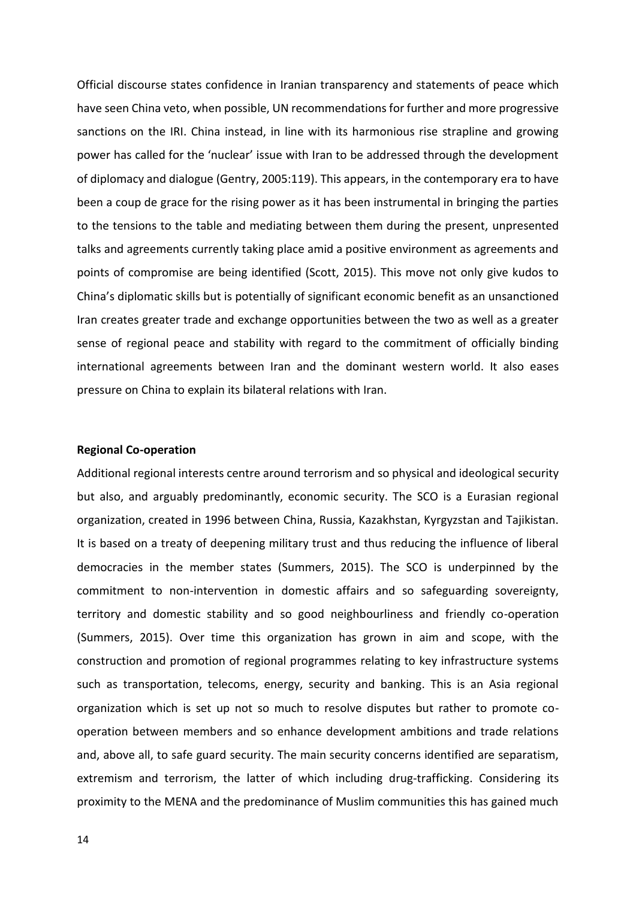Official discourse states confidence in Iranian transparency and statements of peace which have seen China veto, when possible, UN recommendations for further and more progressive sanctions on the IRI. China instead, in line with its harmonious rise strapline and growing power has called for the 'nuclear' issue with Iran to be addressed through the development of diplomacy and dialogue (Gentry, 2005:119). This appears, in the contemporary era to have been a coup de grace for the rising power as it has been instrumental in bringing the parties to the tensions to the table and mediating between them during the present, unpresented talks and agreements currently taking place amid a positive environment as agreements and points of compromise are being identified (Scott, 2015). This move not only give kudos to China's diplomatic skills but is potentially of significant economic benefit as an unsanctioned Iran creates greater trade and exchange opportunities between the two as well as a greater sense of regional peace and stability with regard to the commitment of officially binding international agreements between Iran and the dominant western world. It also eases pressure on China to explain its bilateral relations with Iran.

#### **Regional Co-operation**

Additional regional interests centre around terrorism and so physical and ideological security but also, and arguably predominantly, economic security. The SCO is a Eurasian regional organization, created in 1996 between China, Russia, Kazakhstan, Kyrgyzstan and Tajikistan. It is based on a treaty of deepening military trust and thus reducing the influence of liberal democracies in the member states (Summers, 2015). The SCO is underpinned by the commitment to non-intervention in domestic affairs and so safeguarding sovereignty, territory and domestic stability and so good neighbourliness and friendly co-operation (Summers, 2015). Over time this organization has grown in aim and scope, with the construction and promotion of regional programmes relating to key infrastructure systems such as transportation, telecoms, energy, security and banking. This is an Asia regional organization which is set up not so much to resolve disputes but rather to promote cooperation between members and so enhance development ambitions and trade relations and, above all, to safe guard security. The main security concerns identified are separatism, extremism and terrorism, the latter of which including drug-trafficking. Considering its proximity to the MENA and the predominance of Muslim communities this has gained much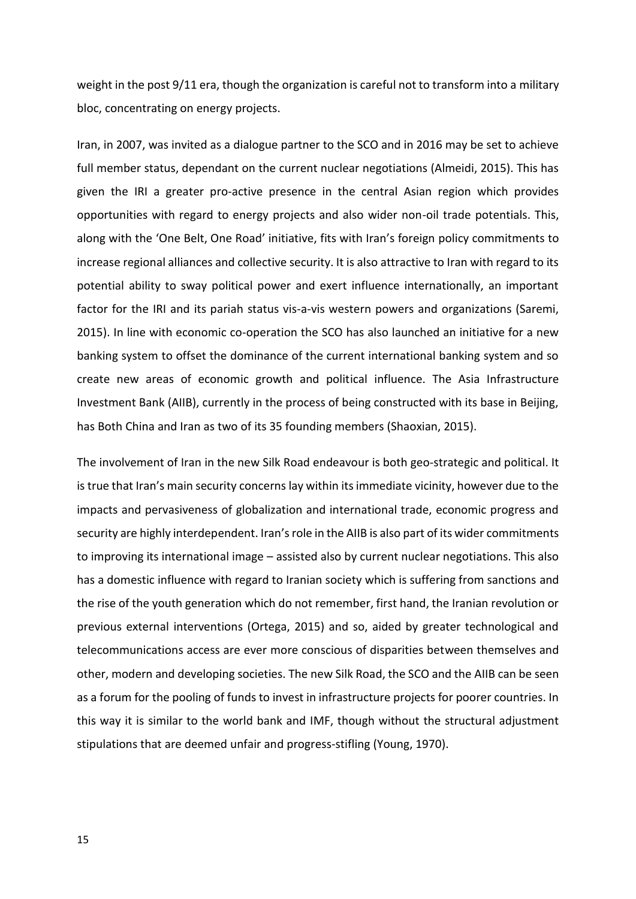weight in the post 9/11 era, though the organization is careful not to transform into a military bloc, concentrating on energy projects.

Iran, in 2007, was invited as a dialogue partner to the SCO and in 2016 may be set to achieve full member status, dependant on the current nuclear negotiations (Almeidi, 2015). This has given the IRI a greater pro-active presence in the central Asian region which provides opportunities with regard to energy projects and also wider non-oil trade potentials. This, along with the 'One Belt, One Road' initiative, fits with Iran's foreign policy commitments to increase regional alliances and collective security. It is also attractive to Iran with regard to its potential ability to sway political power and exert influence internationally, an important factor for the IRI and its pariah status vis-a-vis western powers and organizations (Saremi, 2015). In line with economic co-operation the SCO has also launched an initiative for a new banking system to offset the dominance of the current international banking system and so create new areas of economic growth and political influence. The Asia Infrastructure Investment Bank (AIIB), currently in the process of being constructed with its base in Beijing, has Both China and Iran as two of its 35 founding members (Shaoxian, 2015).

The involvement of Iran in the new Silk Road endeavour is both geo-strategic and political. It is true that Iran's main security concerns lay within its immediate vicinity, however due to the impacts and pervasiveness of globalization and international trade, economic progress and security are highly interdependent. Iran's role in the AIIB is also part of its wider commitments to improving its international image – assisted also by current nuclear negotiations. This also has a domestic influence with regard to Iranian society which is suffering from sanctions and the rise of the youth generation which do not remember, first hand, the Iranian revolution or previous external interventions (Ortega, 2015) and so, aided by greater technological and telecommunications access are ever more conscious of disparities between themselves and other, modern and developing societies. The new Silk Road, the SCO and the AIIB can be seen as a forum for the pooling of funds to invest in infrastructure projects for poorer countries. In this way it is similar to the world bank and IMF, though without the structural adjustment stipulations that are deemed unfair and progress-stifling (Young, 1970).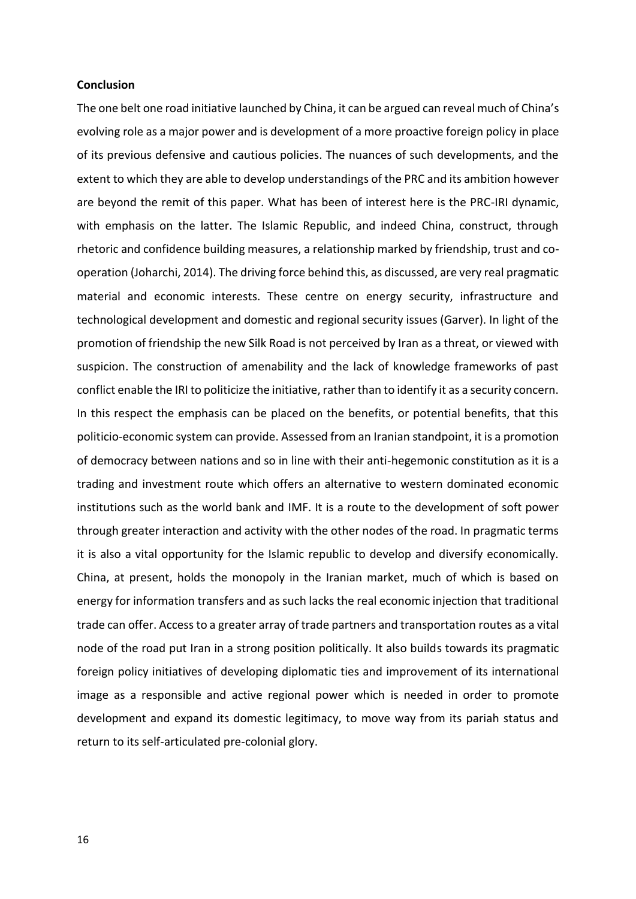## **Conclusion**

The one belt one road initiative launched by China, it can be argued can reveal much of China's evolving role as a major power and is development of a more proactive foreign policy in place of its previous defensive and cautious policies. The nuances of such developments, and the extent to which they are able to develop understandings of the PRC and its ambition however are beyond the remit of this paper. What has been of interest here is the PRC-IRI dynamic, with emphasis on the latter. The Islamic Republic, and indeed China, construct, through rhetoric and confidence building measures, a relationship marked by friendship, trust and cooperation (Joharchi, 2014). The driving force behind this, as discussed, are very real pragmatic material and economic interests. These centre on energy security, infrastructure and technological development and domestic and regional security issues (Garver). In light of the promotion of friendship the new Silk Road is not perceived by Iran as a threat, or viewed with suspicion. The construction of amenability and the lack of knowledge frameworks of past conflict enable the IRI to politicize the initiative, rather than to identify it as a security concern. In this respect the emphasis can be placed on the benefits, or potential benefits, that this politicio-economic system can provide. Assessed from an Iranian standpoint, it is a promotion of democracy between nations and so in line with their anti-hegemonic constitution as it is a trading and investment route which offers an alternative to western dominated economic institutions such as the world bank and IMF. It is a route to the development of soft power through greater interaction and activity with the other nodes of the road. In pragmatic terms it is also a vital opportunity for the Islamic republic to develop and diversify economically. China, at present, holds the monopoly in the Iranian market, much of which is based on energy for information transfers and as such lacks the real economic injection that traditional trade can offer. Access to a greater array of trade partners and transportation routes as a vital node of the road put Iran in a strong position politically. It also builds towards its pragmatic foreign policy initiatives of developing diplomatic ties and improvement of its international image as a responsible and active regional power which is needed in order to promote development and expand its domestic legitimacy, to move way from its pariah status and return to its self-articulated pre-colonial glory.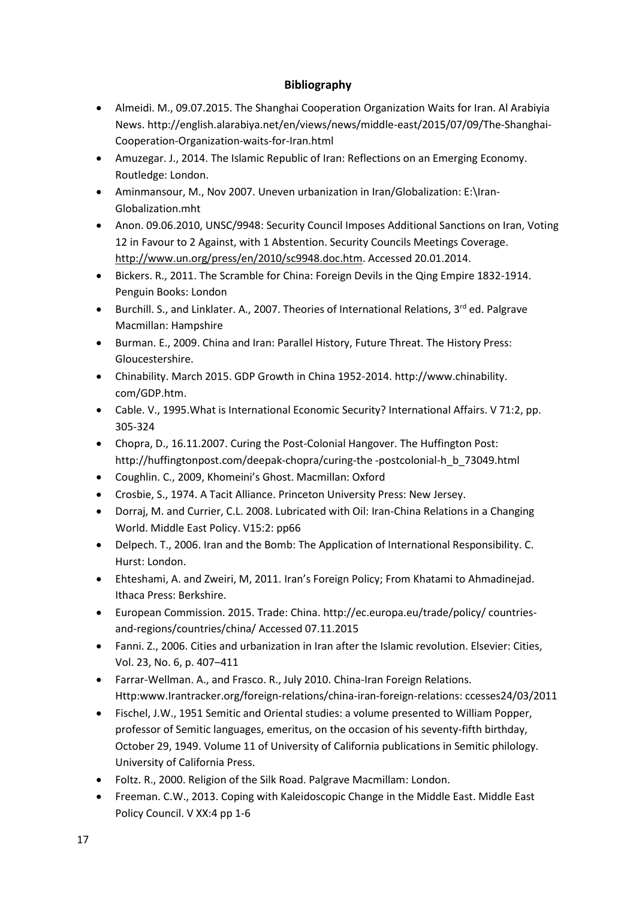## **Bibliography**

- Almeidi. M., 09.07.2015. The Shanghai Cooperation Organization Waits for Iran. Al Arabiyia News. http://english.alarabiya.net/en/views/news/middle-east/2015/07/09/The-Shanghai-Cooperation-Organization-waits-for-Iran.html
- Amuzegar. J., 2014. The Islamic Republic of Iran: Reflections on an Emerging Economy. Routledge: London.
- Aminmansour, M., Nov 2007. Uneven urbanization in Iran/Globalization: E:\Iran-Globalization.mht
- Anon. 09.06.2010, UNSC/9948: Security Council Imposes Additional Sanctions on Iran, Voting 12 in Favour to 2 Against, with 1 Abstention. Security Councils Meetings Coverage. [http://www.un.org/press/en/2010/sc9948.doc.htm.](http://www.un.org/press/en/2010/sc9948.doc.htm) Accessed 20.01.2014.
- Bickers. R., 2011. The Scramble for China: Foreign Devils in the Qing Empire 1832-1914. Penguin Books: London
- **•** Burchill. S., and Linklater. A., 2007. Theories of International Relations,  $3^{rd}$  ed. Palgrave Macmillan: Hampshire
- Burman. E., 2009. China and Iran: Parallel History, Future Threat. The History Press: Gloucestershire.
- Chinability. March 2015. GDP Growth in China 1952-2014. http://www.chinability. com/GDP.htm.
- Cable. V., 1995.What is International Economic Security? International Affairs. V 71:2, pp. 305-324
- Chopra, D., 16.11.2007. Curing the Post-Colonial Hangover. The Huffington Post: [http://huffingtonpost.com/deepak-chopra/curing-the -postcolonial-h\\_b\\_73049.html](http://huffingtonpost.com/deepak-chopra/curing-the%20-postcolonial-h_b_73049.html)
- Coughlin. C., 2009, Khomeini's Ghost. Macmillan: Oxford
- Crosbie, S., 1974. A Tacit Alliance. Princeton University Press: New Jersey.
- [Dorraj, M.](http://www.refworks.com/refworks2/default.aspx?r=references|MainLayout::init) and [Currier, C.L.](http://www.refworks.com/refworks2/default.aspx?r=references|MainLayout::init) 2008. Lubricated with Oil: Iran-China Relations in a Changing World. [Middle East Policy.](http://www.refworks.com/refworks2/default.aspx?r=references|MainLayout::init) V15:2: pp66
- Delpech. T., 2006. Iran and the Bomb: The Application of International Responsibility. C. Hurst: London.
- Ehteshami, A. and Zweiri, M, 2011. Iran's Foreign Policy; From Khatami to Ahmadinejad. Ithaca Press: Berkshire.
- European Commission. 2015. Trade: China[. http://ec.europa.eu/trade/policy/](http://ec.europa.eu/trade/policy/) countriesand-regions/countries/china/ Accessed 07.11.2015
- Fanni. Z., 2006. Cities and urbanization in Iran after the Islamic revolution. Elsevier: Cities, Vol. 23, No. 6, p. 407–411
- Farrar-Wellman. A., and Frasco. R., July 2010. China-Iran Foreign Relations. Http:www.Irantracker.org/foreign-relations/china-iran-foreign-relations: ccesses24/03/2011
- Fischel, J.W., 195[1 Semitic and Oriental studies: a volume presented to William Popper,](http://books.google.com/books?id=FTcGAQAAIAAJ&dq=At+least+from+the+tenth+to+the+twelfth+century%2C+Persian+women+were+to+be+found+in+Canton%2C+in+the+former+period+observed+among+the+inmates+of+the+harem+of+Liu+Ch%27ang%2C+Emperor+of+Southern+Han%2C%272+and+in+the+latter+seen+as+typically+wearing+great+numbers+of+earrings+and+cursed+with+quarrelsome+dispositions.&q=inmates+harem)  [professor of Semitic languages, emeritus, on the occasion of his seventy-fifth birthday,](http://books.google.com/books?id=FTcGAQAAIAAJ&dq=At+least+from+the+tenth+to+the+twelfth+century%2C+Persian+women+were+to+be+found+in+Canton%2C+in+the+former+period+observed+among+the+inmates+of+the+harem+of+Liu+Ch%27ang%2C+Emperor+of+Southern+Han%2C%272+and+in+the+latter+seen+as+typically+wearing+great+numbers+of+earrings+and+cursed+with+quarrelsome+dispositions.&q=inmates+harem)  [October 29, 1949.](http://books.google.com/books?id=FTcGAQAAIAAJ&dq=At+least+from+the+tenth+to+the+twelfth+century%2C+Persian+women+were+to+be+found+in+Canton%2C+in+the+former+period+observed+among+the+inmates+of+the+harem+of+Liu+Ch%27ang%2C+Emperor+of+Southern+Han%2C%272+and+in+the+latter+seen+as+typically+wearing+great+numbers+of+earrings+and+cursed+with+quarrelsome+dispositions.&q=inmates+harem) Volume 11 of University of California publications in Semitic philology. University of California Press.
- Foltz. R., 2000. Religion of the Silk Road. Palgrave Macmillam: London.
- Freeman. C.W., 2013. Coping with Kaleidoscopic Change in the Middle East. Middle East Policy Council. V XX:4 pp 1-6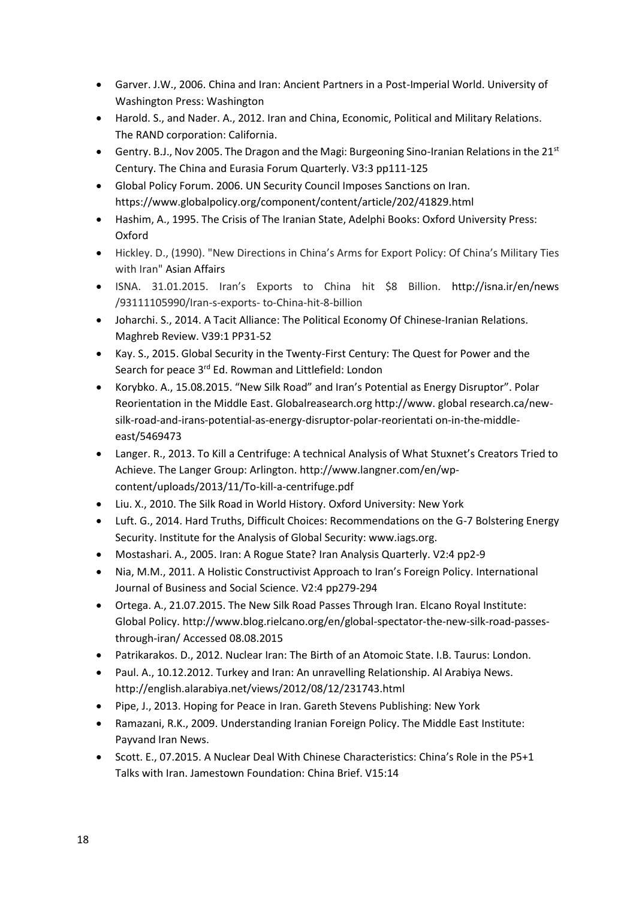- Garver. J.W., 2006. China and Iran: Ancient Partners in a Post-Imperial World. University of Washington Press: Washington
- Harold. S., and Nader. A., 2012. Iran and China, Economic, Political and Military Relations. The RAND corporation: California.
- **Gentry.** B.J., Nov 2005. The Dragon and the Magi: Burgeoning Sino-Iranian Relations in the 21st Century. The China and Eurasia Forum Quarterly. V3:3 pp111-125
- Global Policy Forum. 2006. [UN Security Council Imposes Sanctions on Iran.](https://www.globalpolicy.org/component/content/article/202-sanctions/41829.html) https://www.globalpolicy.org/component/content/article/202/41829.html
- Hashim, A., 1995. The Crisis of The Iranian State, Adelphi Books: Oxford University Press: Oxford
- Hickley. D., (1990). "New Directions in China's Arms for Export Policy: Of China's Military Ties with Iran" [Asian Affairs](https://en.wikipedia.org/wiki/Asian_Affairs)
- ISNA. 31.01.2015. Iran's Exports to China hit \$8 Billion. <http://isna.ir/en/news> /93111105990/Iran-s-exports- to-China-hit-8-billion
- Joharchi. S., 2014. A Tacit Alliance: The Political Economy Of Chinese-Iranian Relations. Maghreb Review. V39:1 PP31-52
- Kay. S., 2015. Global Security in the Twenty-First Century: The Quest for Power and the Search for peace 3<sup>rd</sup> Ed. Rowman and Littlefield: London
- Korybko. A., 15.08.2015. "New Silk Road" and Iran's Potential as Energy Disruptor". Polar Reorientation in the Middle East. Globalreasearch.org http://www. global research.ca/newsilk-road-and-irans-potential-as-energy-disruptor-polar-reorientati on-in-the-middleeast/5469473
- Langer. R., 2013. To Kill a Centrifuge: A technical Analysis of What Stuxnet's Creators Tried to Achieve. The Langer Group: Arlington[. http://www.langner.com/en/wp](http://www.langner.com/en/wp-content/uploads/2013/11/To-kill-a-centrifuge.pdf)[content/uploads/2013/11/To-kill-a-centrifuge.pdf](http://www.langner.com/en/wp-content/uploads/2013/11/To-kill-a-centrifuge.pdf)
- Liu. X., 2010. The Silk Road in World History. Oxford University: New York
- Luft. G., 2014. Hard Truths, Difficult Choices: Recommendations on the G-7 Bolstering Energy Security. Institute for the Analysis of Global Security: [www.iags.org.](http://www.iags.org/)
- Mostashari. A., 2005. Iran: A Rogue State? Iran Analysis Quarterly. V2:4 pp2-9
- Nia, M.M., 2011. A Holistic Constructivist Approach to Iran's Foreign Policy. International Journal of Business and Social Science. V2:4 pp279-294
- Ortega. A., 21.07.2015. The New Silk Road Passes Through Iran. Elcano Royal Institute: Global Policy[. http://www.blog.rielcano.org/en/global-spectator-the-new-silk-road-passes](http://www.blog.rielcano.org/en/global-spectator-the-new-silk-road-passes-through-iran/)[through-iran/](http://www.blog.rielcano.org/en/global-spectator-the-new-silk-road-passes-through-iran/) Accessed 08.08.2015
- Patrikarakos. D., 2012. Nuclear Iran: The Birth of an Atomoic State. I.B. Taurus: London.
- Paul. A., 10.12.2012. Turkey and Iran: An unravelling Relationship. Al Arabiya News. <http://english.alarabiya.net/views/2012/08/12/231743.html>
- Pipe, J., 2013. Hoping for Peace in Iran. Gareth Stevens Publishing: New York
- Ramazani, R.K., 2009. Understanding Iranian Foreign Policy. The Middle East Institute: Payvand Iran News.
- Scott. E., 07.2015. A Nuclear Deal With Chinese Characteristics: China's Role in the P5+1 Talks with Iran. Jamestown Foundation: China Brief. V15:14